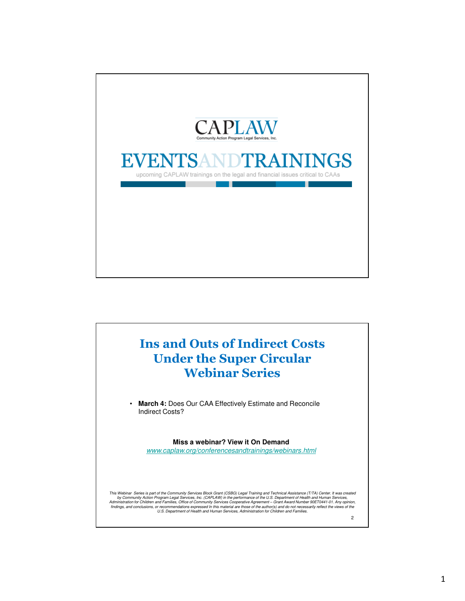

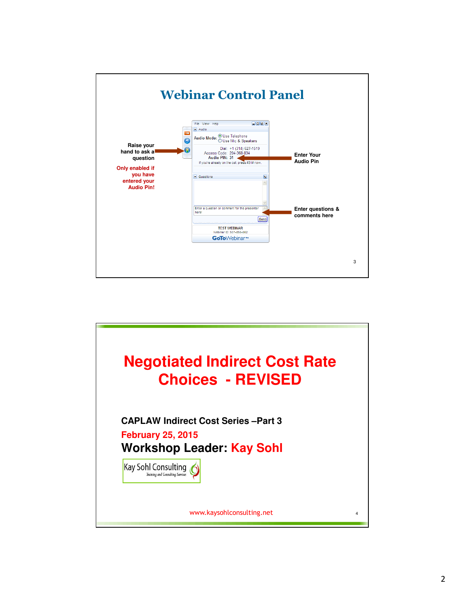

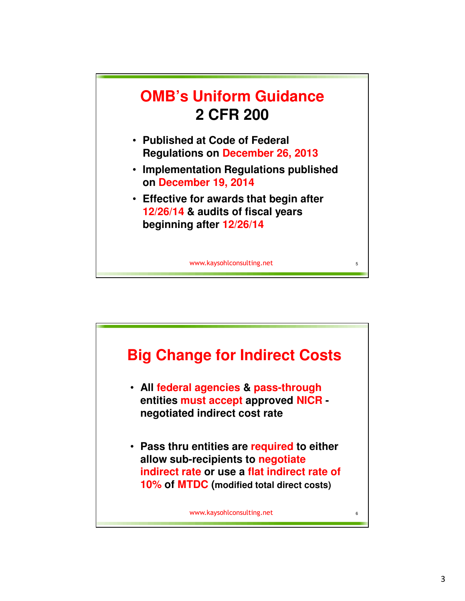

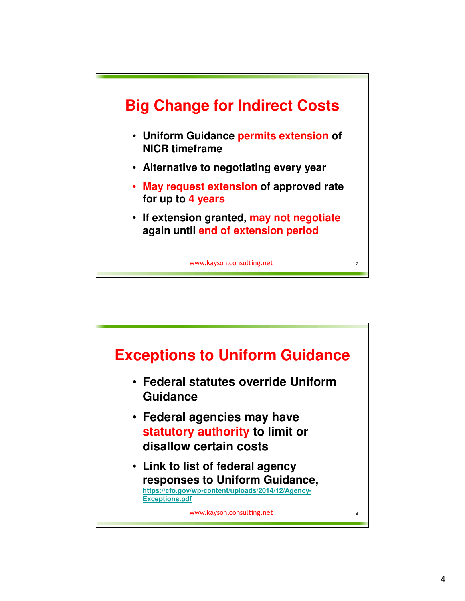

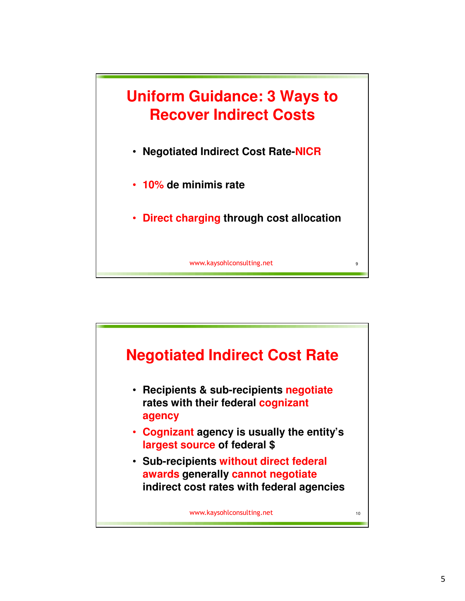

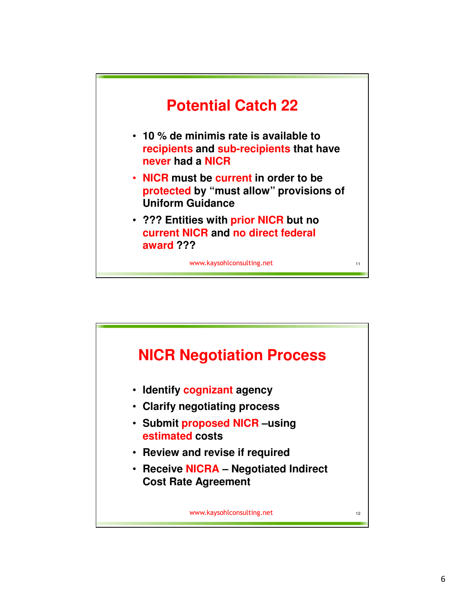

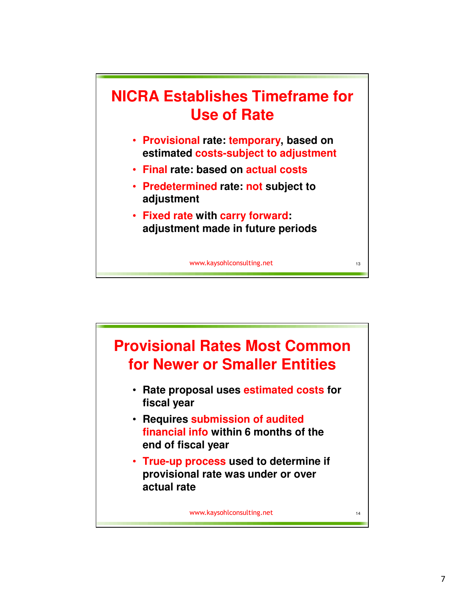

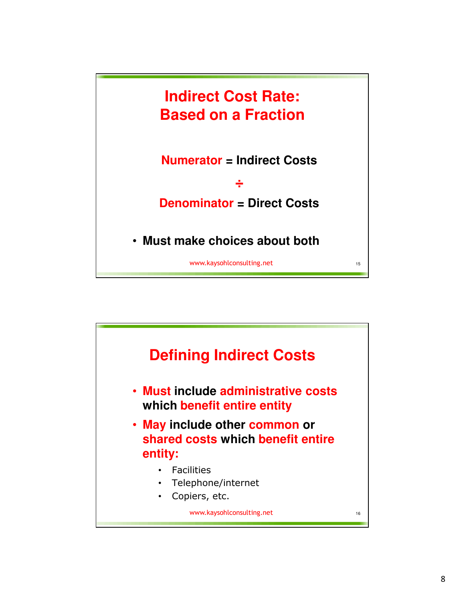

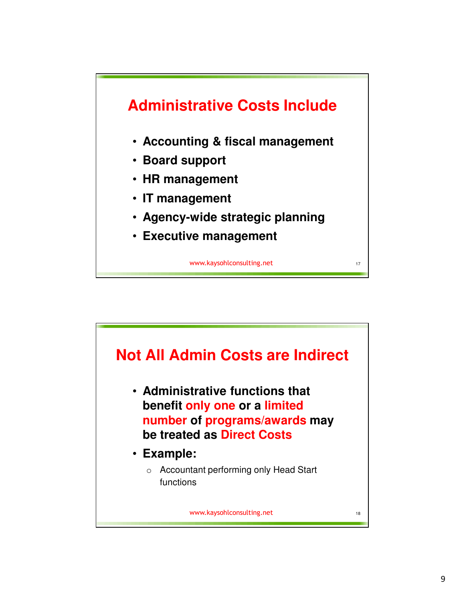

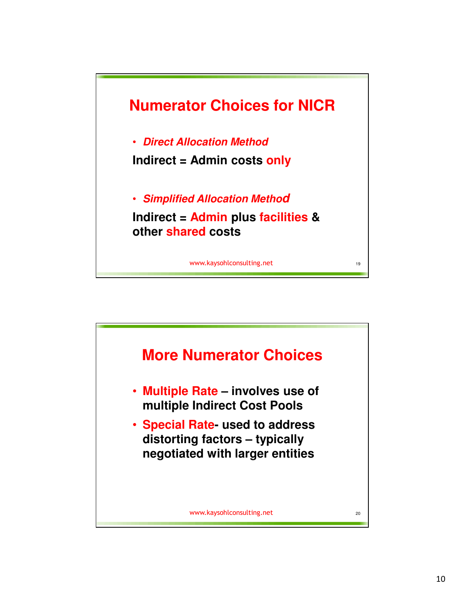![](_page_9_Figure_0.jpeg)

![](_page_9_Figure_1.jpeg)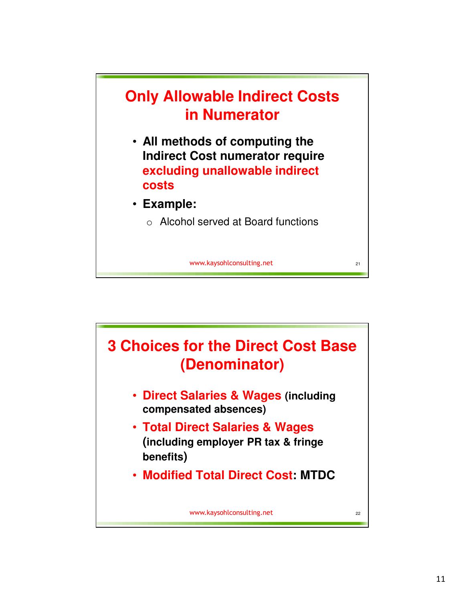![](_page_10_Figure_0.jpeg)

![](_page_10_Figure_1.jpeg)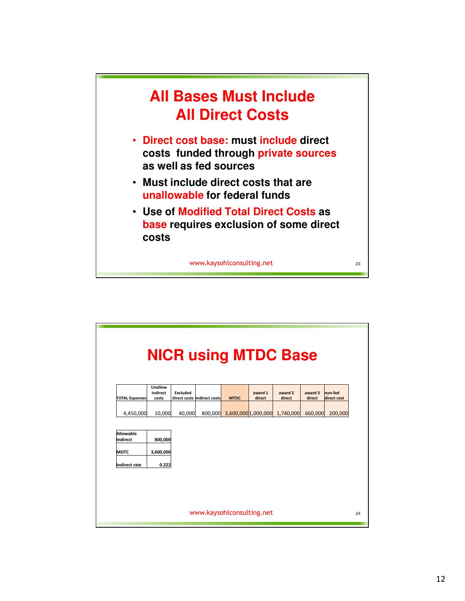![](_page_11_Figure_0.jpeg)

![](_page_11_Figure_1.jpeg)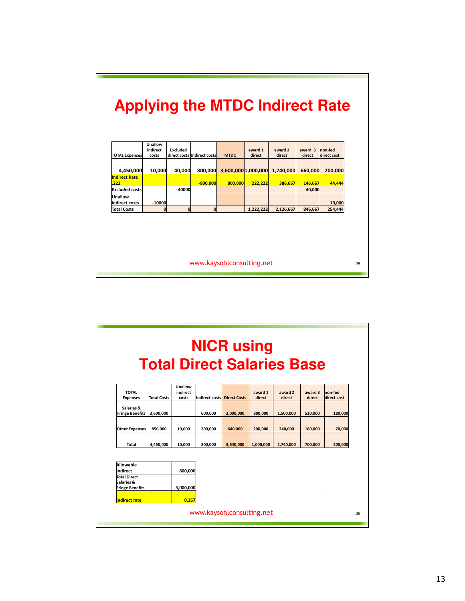|                             | Unallow<br>indirect | <b>Excluded</b> |                             |                     | award 1   | award 2   | award 3 | non-fed     |  |
|-----------------------------|---------------------|-----------------|-----------------------------|---------------------|-----------|-----------|---------|-------------|--|
| <b>TOTAL Expenses</b>       | costs               |                 | direct costs Indirect costs | <b>MTDC</b>         | direct    | direct    | direct  | direct cost |  |
| 4,450,000                   | 10,000              | 40.000          | 800,000                     | 3,600,000 1,000,000 |           | 1.740.000 | 660,000 | 200.000     |  |
| <b>Indirect Rate</b><br>222 |                     |                 | $-800,000$                  | 800,000             | 222,222   | 386,667   | 146,667 | 44,444      |  |
| <b>Excluded costs</b>       |                     | $-40000$        |                             |                     |           |           | 40.000  |             |  |
| Unallow<br>indirect costs   | $-10000$            |                 |                             |                     |           |           |         | 10,000      |  |
| <b>Total Costs</b>          | $\bf{0}$            | $\mathbf 0$     | $\mathbf{0}$                |                     | 1,222,222 | 2,126,667 | 846.667 | 254,444     |  |
|                             |                     |                 |                             |                     |           |           |         |             |  |

٦

|                                      |                    |                     |                | <b>NICR using</b><br><b>Total Direct Salaries Base</b> |           |           |         |             |  |
|--------------------------------------|--------------------|---------------------|----------------|--------------------------------------------------------|-----------|-----------|---------|-------------|--|
| <b>TOTAL</b>                         |                    | Unallow<br>indirect |                |                                                        | award 1   | award 2   | award 3 | non-fed     |  |
| <b>Expenses</b>                      | <b>Total Costs</b> | costs               | Indirect costs | <b>Direct Costs</b>                                    | direct    | direct    | direct  | direct cost |  |
| Salaries &<br><b>Fringe Benefits</b> | 3,600,000          |                     | 600,000        | 3,000,000                                              | 800,000   | 1,500,000 | 520.000 | 180,000     |  |
| <b>Other Expenses</b>                | 850.000            | 10,000              | 200,000        | 640.000                                                | 200.000   | 240.000   | 180,000 | 20,000      |  |
| Total                                | 4.450.000          | 10.000              | 800.000        | 3.640.000                                              | 1.000.000 | 1,740,000 | 700.000 | 200,000     |  |
| Allowable                            |                    |                     |                |                                                        |           |           |         |             |  |
| Indirect                             |                    | 800.000             |                |                                                        |           |           |         |             |  |
| <b>Total Direct</b><br>Salaries &    |                    |                     |                |                                                        |           |           |         |             |  |
| <b>Fringe Benefits</b>               |                    | 3,000,000           |                |                                                        |           |           |         | j.          |  |
| Indirect rate                        |                    | 0.267               |                |                                                        |           |           |         |             |  |
|                                      |                    |                     |                | www.kaysohlconsulting.net                              |           |           |         |             |  |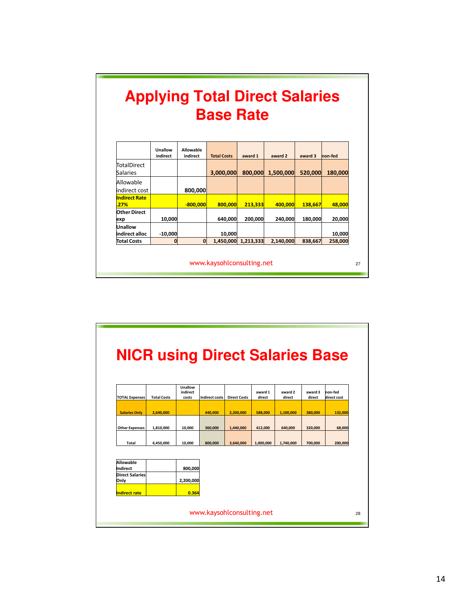|                  | <b>Applying Total Direct Salaries</b> |
|------------------|---------------------------------------|
| <b>Base Rate</b> |                                       |

|                              | Unallow<br>indirect | <b>Allowable</b><br>indirect | <b>Total Costs</b> | award 1   | award 2   | award 3 | non-fed |
|------------------------------|---------------------|------------------------------|--------------------|-----------|-----------|---------|---------|
| TotalDirect<br>Salaries      |                     |                              | 3,000,000          | 800,000   | 1,500,000 | 520,000 | 180,000 |
| Allowable<br>indirect cost   |                     | 800,000                      |                    |           |           |         |         |
| <b>Indirect Rate</b><br>.27% |                     | $-800.000$                   | 800,000            | 213,333   | 400.000   | 138,667 | 48,000  |
| Other Direct<br>exp          | 10,000              |                              | 640,000            | 200,000   | 240,000   | 180,000 | 20,000  |
| Unallow<br>indirect alloc    | $-10,000$           |                              | 10,000             |           |           |         | 10,000  |
| <b>Total Costs</b>           | 0                   | $\mathbf 0$                  | 1,450,000          | 1,213,333 | 2,140,000 | 838,667 | 258,000 |

www.kaysohlconsulting.net

www.kaysohlconsulting.net **NICR using Direct Salaries Base** TOTAL Expenses Total Costs **Unallow** indirect costs Indirect costs Direct Costs award 1 direct award 2 direct award 3 direct on-fed direct cost Salaries Only 2,640,000 440,000 2,200,000 588,000 1,100,000 380,000 132,000 Other Expenses 1,810,000 10,000 360,000 1,440,000 412,000 640,000 320,000 68,000 Total | 4,450,000 | 10,000 | 800,000 | 3,640,000 | 1,000,000 | 700,000 | 200,000 | 200,000 Allowable<br>Indirect 800,000 Direct Salaries Only 2,200,000 ndirect rate **120 CM** 0.364 28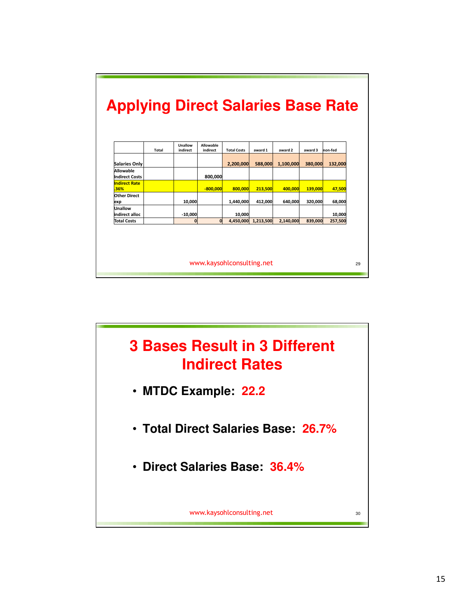|                                    | <b>Total</b> | Unallow<br>indirect | <b>Allowable</b><br>indirect | <b>Total Costs</b> | award 1   | award 2   | award 3 | non-fed |
|------------------------------------|--------------|---------------------|------------------------------|--------------------|-----------|-----------|---------|---------|
| <b>Salaries Only</b>               |              |                     |                              | 2,200,000          | 588,000   | 1,100,000 | 380,000 | 132,000 |
| Allowable<br><b>Indirect Costs</b> |              |                     | 800,000                      |                    |           |           |         |         |
| <b>Indirect Rate</b><br>.36%       |              |                     | $-800.000$                   | 800.000            | 213,500   | 400.000   | 139,000 | 47.500  |
| <b>Other Direct</b><br>exp         |              | 10,000              |                              | 1,440,000          | 412.000   | 640.000   | 320.000 | 68,000  |
| Unallow<br>indirect alloc          |              | $-10,000$           |                              | 10,000             |           |           |         | 10,000  |
| <b>Total Costs</b>                 |              | $\bf{0}$            | $\bf{0}$                     | 4.450.000          | 1,213,500 | 2,140,000 | 839.000 | 257,500 |

![](_page_14_Figure_1.jpeg)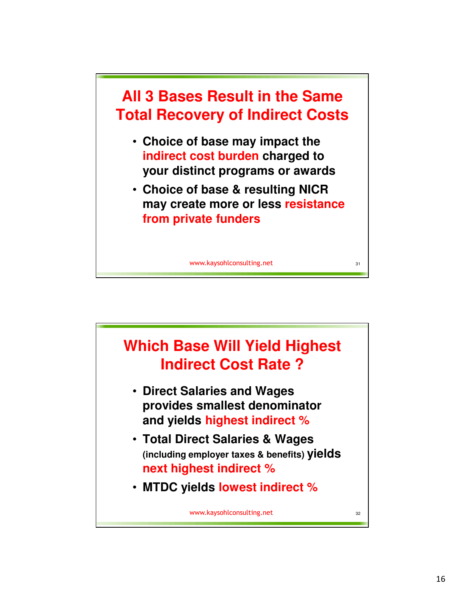![](_page_15_Figure_0.jpeg)

![](_page_15_Figure_1.jpeg)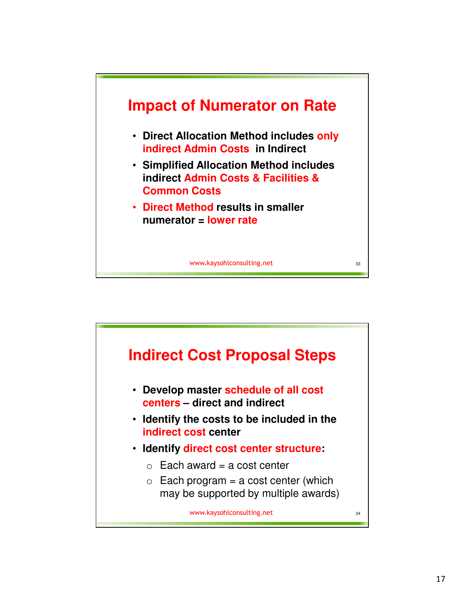![](_page_16_Figure_0.jpeg)

![](_page_16_Figure_1.jpeg)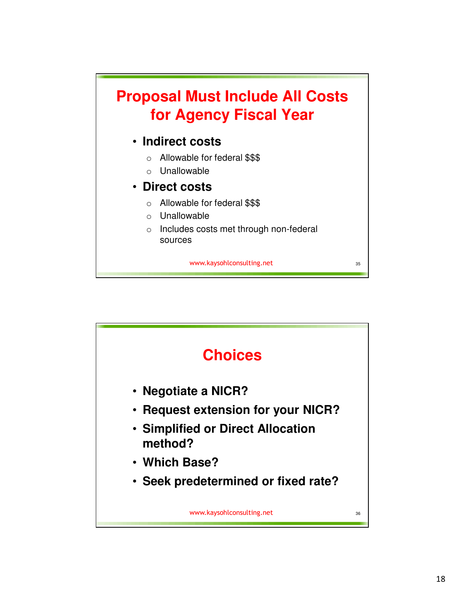![](_page_17_Figure_0.jpeg)

![](_page_17_Figure_1.jpeg)